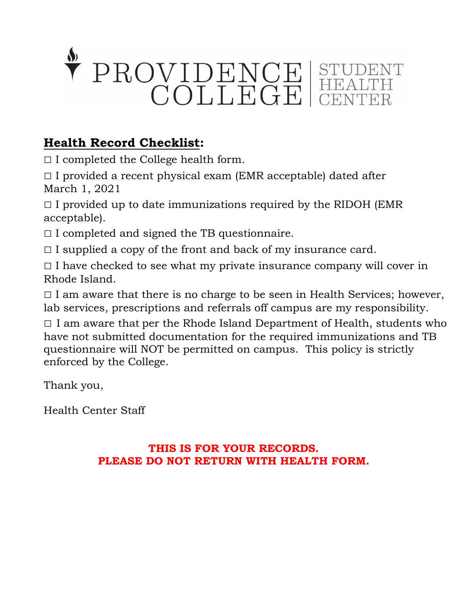

# **Health Record Checklist:**

 $\Box$  I completed the College health form.

 $\Box$  I provided a recent physical exam (EMR acceptable) dated after March 1, 2021

 $\Box$  I provided up to date immunizations required by the RIDOH (EMR acceptable).

 $\Box$  I completed and signed the TB questionnaire.

 $\Box$  I supplied a copy of the front and back of my insurance card.

 $\Box$  I have checked to see what my private insurance company will cover in Rhode Island.

 $\Box$  I am aware that there is no charge to be seen in Health Services; however, lab services, prescriptions and referrals off campus are my responsibility.

 $\Box$  I am aware that per the Rhode Island Department of Health, students who have not submitted documentation for the required immunizations and TB questionnaire will NOT be permitted on campus. This policy is strictly enforced by the College.

Thank you,

Health Center Staff

## **THIS IS FOR YOUR RECORDS. PLEASE DO NOT RETURN WITH HEALTH FORM.**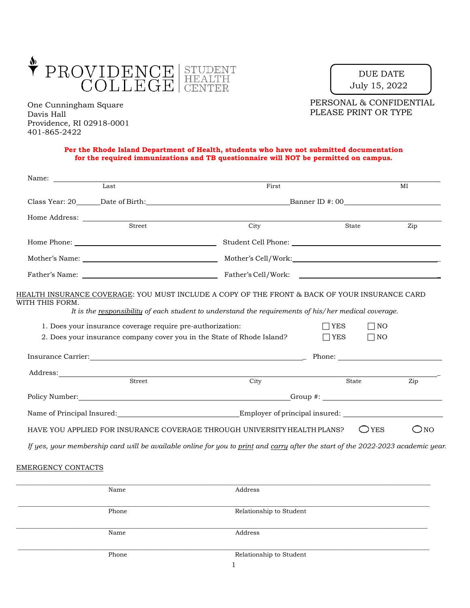

One Cunningham Square Davis Hall Providence, RI 02918-0001 401-865-2422

DUE DATE July 15, 2022

PERSONAL & CONFIDENTIAL PLEASE PRINT OR TYPE

#### **Per the Rhode Island Department of Health, students who have not submitted documentation for the required immunizations and TB questionnaire will NOT be permitted on campus.**

| Name:<br>Last                                                                                                                                                                                                                        | First                                                                                                                                                                                                                                               |                          |                        | MI            |  |
|--------------------------------------------------------------------------------------------------------------------------------------------------------------------------------------------------------------------------------------|-----------------------------------------------------------------------------------------------------------------------------------------------------------------------------------------------------------------------------------------------------|--------------------------|------------------------|---------------|--|
|                                                                                                                                                                                                                                      |                                                                                                                                                                                                                                                     |                          |                        |               |  |
| Home Address: <u>Street Street Street Street Street Street Street Street Street Street Street Street Street Street Street Street Street Street Street Street Street Street Street Street Street Street Street Street Street Stre</u> |                                                                                                                                                                                                                                                     |                          |                        |               |  |
|                                                                                                                                                                                                                                      | City                                                                                                                                                                                                                                                | State                    |                        | Zip           |  |
|                                                                                                                                                                                                                                      |                                                                                                                                                                                                                                                     |                          |                        |               |  |
|                                                                                                                                                                                                                                      |                                                                                                                                                                                                                                                     |                          |                        |               |  |
|                                                                                                                                                                                                                                      |                                                                                                                                                                                                                                                     |                          |                        |               |  |
|                                                                                                                                                                                                                                      | 1. Does your insurance coverage require pre-authorization:<br>2. Does your insurance company cover you in the State of Rhode Island?                                                                                                                | $\Box$ YES<br>$\Box$ YES | $\Box$ NO<br>$\Box$ NO |               |  |
|                                                                                                                                                                                                                                      | Insurance Carrier: <u>Alexander School and Theory and Theory and Theory and Theory and Theory and Theory and Theory and Theory and Theory and Theory and Theory and Theory and Theory and Theory and Theory and Theory and Theor</u>                |                          |                        |               |  |
| Street                                                                                                                                                                                                                               | Address: No. 2016. The Company of the Company of the Company of the Company of the Company of the Company of the Company of the Company of the Company of the Company of the Company of the Company of the Company of the Comp<br>$\overline{City}$ | State                    |                        | Zip           |  |
|                                                                                                                                                                                                                                      |                                                                                                                                                                                                                                                     |                          |                        |               |  |
|                                                                                                                                                                                                                                      |                                                                                                                                                                                                                                                     |                          |                        |               |  |
|                                                                                                                                                                                                                                      | HAVE YOU APPLIED FOR INSURANCE COVERAGE THROUGH UNIVERSITY HEALTH PLANS?                                                                                                                                                                            |                          | $\bigcirc$ yes         | $\bigcirc$ NO |  |
|                                                                                                                                                                                                                                      | If yes, your membership card will be available online for you to print and carry after the start of the 2022-2023 academic year.                                                                                                                    |                          |                        |               |  |

## EMERGENCY CONTACTS

| Name  | Address                                                                                                         |
|-------|-----------------------------------------------------------------------------------------------------------------|
|       |                                                                                                                 |
|       |                                                                                                                 |
| Phone | Relationship to Student                                                                                         |
|       |                                                                                                                 |
|       |                                                                                                                 |
| Name  | Address                                                                                                         |
|       |                                                                                                                 |
|       |                                                                                                                 |
| Phone | Relationship to Student                                                                                         |
|       |                                                                                                                 |
|       | the contract of the contract of the contract of the contract of the contract of the contract of the contract of |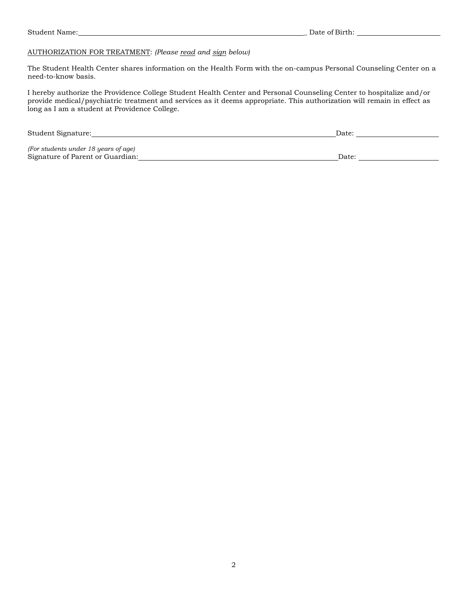## AUTHORIZATION FOR TREATMENT: *(Please read and sign below)*

The Student Health Center shares information on the Health Form with the on-campus Personal Counseling Center on a need-to-know basis.

I hereby authorize the Providence College Student Health Center and Personal Counseling Center to hospitalize and/or provide medical/psychiatric treatment and services as it deems appropriate. This authorization will remain in effect as long as I am a student at Providence College.

| Student Signature:                   | Date <sup>.</sup> |
|--------------------------------------|-------------------|
| (For students under 18 years of age) |                   |
| Signature of Parent or Guardian:     | Date:             |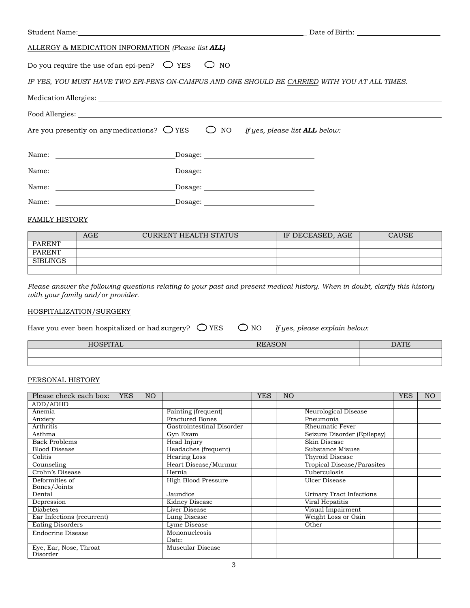|                                                                                                                                                                                                                                | Student Name: Date of Birth:                                                                  |
|--------------------------------------------------------------------------------------------------------------------------------------------------------------------------------------------------------------------------------|-----------------------------------------------------------------------------------------------|
| ALLERGY & MEDICATION INFORMATION (Please list ALL)                                                                                                                                                                             |                                                                                               |
| Do you require the use of an epi-pen? $\bigcirc$ YES $\bigcirc$                                                                                                                                                                | NO.                                                                                           |
|                                                                                                                                                                                                                                | IF YES, YOU MUST HAVE TWO EPI-PENS ON-CAMPUS AND ONE SHOULD BE CARRIED WITH YOU AT ALL TIMES. |
|                                                                                                                                                                                                                                |                                                                                               |
|                                                                                                                                                                                                                                |                                                                                               |
| Are you presently on any medications? $\bigcirc$ YES $\bigcirc$ NO If yes, please list <b>ALL</b> below:                                                                                                                       |                                                                                               |
|                                                                                                                                                                                                                                | $\begin{tabular}{c} \textbf{Dosage:} \end{tabular}$                                           |
| Name: Dosage: Dosage: 2008/07/2012 12:00:00 Dosage: 2008/07/2012 12:00:00 Dosage: 2008/07/2012 12:00:00 Dosage: 2008/07/2012 12:00:00 Dosage: 2008/07/2012 12:00:00 Dosage: 2008/07/2012 12:00:00 Dosage: 2008/07/2012 12:00:0 |                                                                                               |
| Name: Dosage: Dosage:                                                                                                                                                                                                          |                                                                                               |
| Name: Dosage: Dosage:                                                                                                                                                                                                          |                                                                                               |

## FAMILY HISTORY

|                 | AGE | <b>CURRENT HEALTH STATUS</b> | IF DECEASED, AGE | CAUSE |
|-----------------|-----|------------------------------|------------------|-------|
| <b>PARENT</b>   |     |                              |                  |       |
| <b>PARENT</b>   |     |                              |                  |       |
| <b>SIBLINGS</b> |     |                              |                  |       |
|                 |     |                              |                  |       |

*Please answer the following questions relating to your past and present medical history. When in doubt, clarify this history with your family and/or provider.*

## HOSPITALIZATION/SURGERY

| Have you ever been hospitalized or had surgery? $\bigcirc$ YES |  | $\bigcirc$ NO | If yes, please explain below: |
|----------------------------------------------------------------|--|---------------|-------------------------------|
|                                                                |  |               |                               |

| ш<br>1 I A D | $\overline{p}$ $\overline{p}$ $\overline{p}$ $\overline{p}$ $\overline{p}$ $\overline{p}$ $\overline{p}$ $\overline{p}$ $\overline{p}$ $\overline{p}$ $\overline{p}$ $\overline{p}$ $\overline{p}$ $\overline{p}$ $\overline{p}$ $\overline{p}$ $\overline{p}$ $\overline{p}$ $\overline{p}$ $\overline{p}$ $\overline{p}$ $\overline{p}$ $\overline{p}$ $\overline{p}$ $\overline{$<br>$\overline{\mathbf{v}}$<br>. . | $\Lambda$ $T\Lambda$ |
|--------------|------------------------------------------------------------------------------------------------------------------------------------------------------------------------------------------------------------------------------------------------------------------------------------------------------------------------------------------------------------------------------------------------------------------------|----------------------|
|              |                                                                                                                                                                                                                                                                                                                                                                                                                        |                      |
|              |                                                                                                                                                                                                                                                                                                                                                                                                                        |                      |

## PERSONAL HISTORY

| Please check each box:             | <b>YES</b> | N <sub>O</sub> |                           | YES | NO <sub>1</sub> |                                 | <b>YES</b> | N <sub>O</sub> |
|------------------------------------|------------|----------------|---------------------------|-----|-----------------|---------------------------------|------------|----------------|
| ADD/ADHD                           |            |                |                           |     |                 |                                 |            |                |
| Anemia                             |            |                | Fainting (frequent)       |     |                 | Neurological Disease            |            |                |
| Anxiety                            |            |                | <b>Fractured Bones</b>    |     |                 | Pneumonia                       |            |                |
| Arthritis                          |            |                | Gastrointestinal Disorder |     |                 | Rheumatic Fever                 |            |                |
| Asthma                             |            |                | Gyn Exam                  |     |                 | Seizure Disorder (Epilepsy)     |            |                |
| <b>Back Problems</b>               |            |                | Head Injury               |     |                 | Skin Disease                    |            |                |
| <b>Blood Disease</b>               |            |                | Headaches (frequent)      |     |                 | Substance Misuse                |            |                |
| Colitis                            |            |                | <b>Hearing Loss</b>       |     |                 | Thyroid Disease                 |            |                |
| Counseling                         |            |                | Heart Disease/Murmur      |     |                 | Tropical Disease/Parasites      |            |                |
| Crohn's Disease                    |            |                | Hernia                    |     |                 | Tuberculosis                    |            |                |
| Deformities of<br>Bones/Joints     |            |                | High Blood Pressure       |     |                 | Ulcer Disease                   |            |                |
| Dental                             |            |                | Jaundice                  |     |                 | <b>Urinary Tract Infections</b> |            |                |
| Depression                         |            |                | Kidney Disease            |     |                 | Viral Hepatitis                 |            |                |
| <b>Diabetes</b>                    |            |                | Liver Disease             |     |                 | Visual Impairment               |            |                |
| Ear Infections (recurrent)         |            |                | Lung Disease              |     |                 | Weight Loss or Gain             |            |                |
| <b>Eating Disorders</b>            |            |                | Lyme Disease              |     |                 | Other                           |            |                |
| Endocrine Disease                  |            |                | Mononucleosis<br>Date:    |     |                 |                                 |            |                |
| Eye, Ear, Nose, Throat<br>Disorder |            |                | Muscular Disease          |     |                 |                                 |            |                |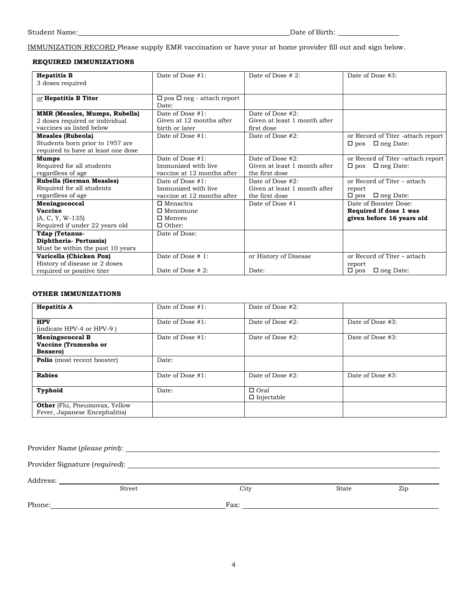IMMUNIZATION RECORD Please supply EMR vaccination or have your at home provider fill out and sign below.

## **REQUIRED IMMUNIZATIONS**

| <b>Hepatitis B</b>                   | Date of Dose #1:                      | Date of Dose # 2:            | Date of Dose #3:                  |
|--------------------------------------|---------------------------------------|------------------------------|-----------------------------------|
| 3 doses required                     |                                       |                              |                                   |
|                                      |                                       |                              |                                   |
| or Hepatitis B Titer                 | $\Box$ pos $\Box$ neg - attach report |                              |                                   |
|                                      | Date:                                 |                              |                                   |
| <b>MMR (Measles, Mumps, Rubella)</b> | Date of Dose #1:                      | Date of Dose #2:             |                                   |
| 2 doses required or individual       | Given at 12 months after              | Given at least 1 month after |                                   |
| vaccines as listed below             | birth or later                        | first dose                   |                                   |
| <b>Measles (Rubeola)</b>             | Date of Dose #1:                      | Date of Dose #2:             | or Record of Titer -attach report |
| Students born prior to 1957 are      |                                       |                              | $\Box$ pos $\Box$ neg Date:       |
| required to have at least one dose   |                                       |                              |                                   |
| <b>Mumps</b>                         | Date of Dose #1:                      | Date of Dose #2:             | or Record of Titer-attach report  |
| Required for all students            | Immunized with live                   | Given at least 1 month after | $\Box$ pos $\Box$ neg Date:       |
| regardless of age                    | vaccine at 12 months after            | the first dose               |                                   |
| <b>Rubella (German Measles)</b>      | Date of Dose #1:                      | Date of Dose #2:             | or Record of Titer – attach       |
| Required for all students            | Immunized with live                   | Given at least 1 month after | report                            |
| regardless of age                    | vaccine at 12 months after            | the first dose               | $\Box$ neg Date:<br>$\Box$ pos    |
| Meningococcal                        | $\Box$ Menactra                       | Date of Dose #1              | Date of Booster Dose:             |
| Vaccine                              | $\Box$ Menomune                       |                              | Required if dose 1 was            |
| $(A, C, Y, W-135)$                   | $\Box$ Menyeo                         |                              | given before 16 years old         |
| Required if under 22 years old       | $\Box$ Other:                         |                              |                                   |
| Tdap (Tetanus-                       | Date of Dose:                         |                              |                                   |
| Diphtheria-Pertussis)                |                                       |                              |                                   |
| Must be within the past 10 years     |                                       |                              |                                   |
| Varicella (Chicken Pox)              | Date of Dose #1:                      | or History of Disease        | or Record of Titer - attach       |
| History of disease or 2 doses        |                                       |                              | report                            |
| required or positive titer           | Date of Dose $#2$ :                   | Date:                        | $\Box$ neg Date:<br>$\Box$ pos    |

#### **OTHER IMMUNIZATIONS**

| <b>Hepatitis A</b>                                                    | Date of Dose #1: | Date of Dose #2:                 |                  |
|-----------------------------------------------------------------------|------------------|----------------------------------|------------------|
| <b>HPV</b><br>(indicate HPV-4 or HPV-9)                               | Date of Dose #1: | Date of Dose #2:                 | Date of Dose #3: |
| <b>Meningococcal B</b><br>Vaccine (Trumenba or<br>Bexsero)            | Date of Dose #1: | Date of Dose #2:                 | Date of Dose #3: |
| <b>Polio</b> (most recent booster)                                    | Date:            |                                  |                  |
| <b>Rabies</b>                                                         | Date of Dose #1: | Date of Dose #2:                 | Date of Dose #3: |
| Typhoid                                                               | Date:            | $\Box$ Oral<br>$\Box$ Injectable |                  |
| <b>Other</b> (Flu, Pneumovax, Yellow<br>Fever, Japanese Encephalitis) |                  |                                  |                  |

Provider Name (*please print*):

Provider Signature (*required*):

Address:

Phone: Fax:

Street City State Zip

4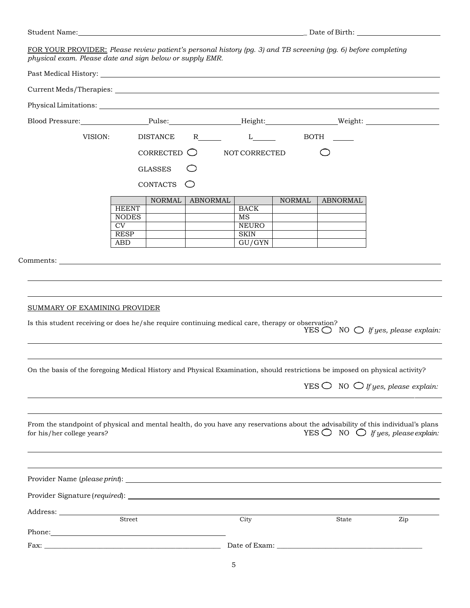FOR YOUR PROVIDER: *Please review patient's personal history (pg. 3) and TB screening (pg. 6) before completing physical exam. Please date and sign below or supply EMR.*

| VISION:                                                                                                                                                                                                                                                            |                                       | <b>DISTANCE</b>      |                 | $R$ and $\overline{R}$ and $\overline{R}$ and $\overline{R}$ and $\overline{R}$ and $\overline{R}$ and $\overline{R}$ and $\overline{R}$ and $\overline{R}$ and $\overline{R}$ and $\overline{R}$ and $\overline{R}$ and $\overline{R}$ and $\overline{R}$ and $\overline{R}$ and $\overline{R}$ and $\overline{R}$ and $\overline{$<br>$L_{\perp}$ |               | BOTH            |                                                                                                              |
|--------------------------------------------------------------------------------------------------------------------------------------------------------------------------------------------------------------------------------------------------------------------|---------------------------------------|----------------------|-----------------|-----------------------------------------------------------------------------------------------------------------------------------------------------------------------------------------------------------------------------------------------------------------------------------------------------------------------------------------------------|---------------|-----------------|--------------------------------------------------------------------------------------------------------------|
|                                                                                                                                                                                                                                                                    |                                       | CORRECTED $\bigcirc$ |                 | NOT CORRECTED                                                                                                                                                                                                                                                                                                                                       |               |                 |                                                                                                              |
|                                                                                                                                                                                                                                                                    |                                       | <b>GLASSES</b>       |                 |                                                                                                                                                                                                                                                                                                                                                     |               |                 |                                                                                                              |
|                                                                                                                                                                                                                                                                    |                                       |                      |                 |                                                                                                                                                                                                                                                                                                                                                     |               |                 |                                                                                                              |
|                                                                                                                                                                                                                                                                    |                                       | CONTACTS             |                 |                                                                                                                                                                                                                                                                                                                                                     |               |                 |                                                                                                              |
|                                                                                                                                                                                                                                                                    | <b>HEENT</b>                          | <b>NORMAL</b>        | <b>ABNORMAL</b> | <b>BACK</b>                                                                                                                                                                                                                                                                                                                                         | <b>NORMAL</b> | <b>ABNORMAL</b> |                                                                                                              |
|                                                                                                                                                                                                                                                                    | <b>NODES</b>                          |                      |                 | MS                                                                                                                                                                                                                                                                                                                                                  |               |                 |                                                                                                              |
|                                                                                                                                                                                                                                                                    | $\overline{\text{CV}}$<br><b>RESP</b> |                      |                 | <b>NEURO</b><br><b>SKIN</b>                                                                                                                                                                                                                                                                                                                         |               |                 |                                                                                                              |
|                                                                                                                                                                                                                                                                    | <b>ABD</b>                            |                      |                 | GU/GYN                                                                                                                                                                                                                                                                                                                                              |               |                 |                                                                                                              |
|                                                                                                                                                                                                                                                                    |                                       |                      |                 |                                                                                                                                                                                                                                                                                                                                                     |               |                 |                                                                                                              |
| SUMMARY OF EXAMINING PROVIDER<br>Is this student receiving or does he/she require continuing medical care, therapy or observation?<br>On the basis of the foregoing Medical History and Physical Examination, should restrictions be imposed on physical activity? |                                       |                      |                 |                                                                                                                                                                                                                                                                                                                                                     |               |                 |                                                                                                              |
|                                                                                                                                                                                                                                                                    |                                       |                      |                 |                                                                                                                                                                                                                                                                                                                                                     |               |                 | YES $\bigcirc$ NO $\bigcirc$ If yes, please explain:<br>YES $\bigcirc$ NO $\bigcirc$ If yes, please explain: |
| From the standpoint of physical and mental health, do you have any reservations about the advisability of this individual's plans<br>for his/her college years?                                                                                                    |                                       |                      |                 |                                                                                                                                                                                                                                                                                                                                                     |               |                 |                                                                                                              |
|                                                                                                                                                                                                                                                                    |                                       |                      |                 |                                                                                                                                                                                                                                                                                                                                                     |               |                 | YES $\bigcirc$ NO $\bigcirc$ If yes, please explain:                                                         |
|                                                                                                                                                                                                                                                                    |                                       |                      |                 |                                                                                                                                                                                                                                                                                                                                                     |               |                 |                                                                                                              |
|                                                                                                                                                                                                                                                                    | Street                                |                      |                 | City                                                                                                                                                                                                                                                                                                                                                |               | State           | Zip                                                                                                          |
| Phone: 2008                                                                                                                                                                                                                                                        |                                       |                      |                 |                                                                                                                                                                                                                                                                                                                                                     |               |                 |                                                                                                              |